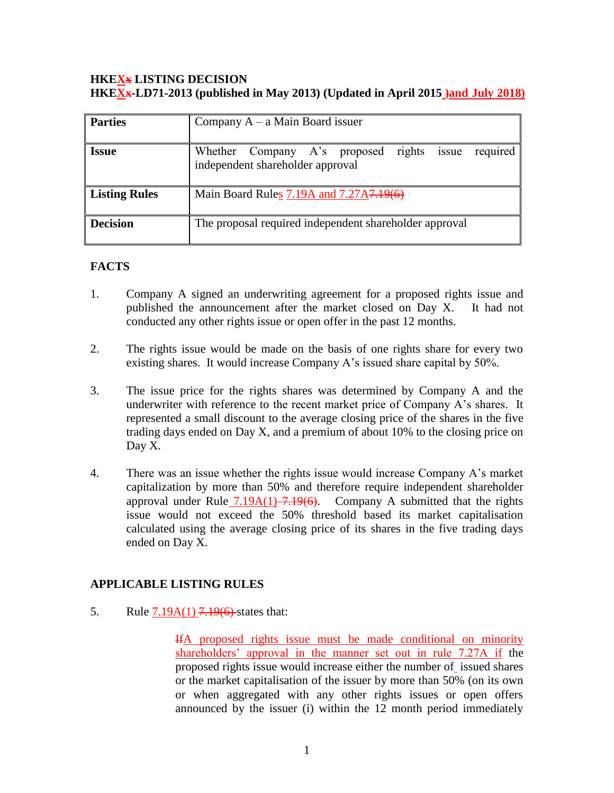### **HKEXx LISTING DECISION HKEXx-LD71-2013 (published in May 2013) (Updated in April 2015 )and July 2018)**

| <b>Parties</b>       | Company $A - a$ Main Board issuer                                                            |
|----------------------|----------------------------------------------------------------------------------------------|
| <b>Issue</b>         | Whether Company A's proposed rights<br>required<br>issue<br>independent shareholder approval |
| <b>Listing Rules</b> | Main Board Rules 7.19A and 7.27A7.19(6)                                                      |
| <b>Decision</b>      | The proposal required independent shareholder approval                                       |

## **FACTS**

- 1. Company A signed an underwriting agreement for a proposed rights issue and published the announcement after the market closed on Day X. It had not conducted any other rights issue or open offer in the past 12 months.
- 2. The rights issue would be made on the basis of one rights share for every two existing shares. It would increase Company A's issued share capital by 50%.
- 3. The issue price for the rights shares was determined by Company A and the underwriter with reference to the recent market price of Company A's shares. It represented a small discount to the average closing price of the shares in the five trading days ended on Day X, and a premium of about 10% to the closing price on Day X.
- 4. There was an issue whether the rights issue would increase Company A's market capitalization by more than 50% and therefore require independent shareholder approval under Rule  $7.19A(1) -7.19(6)$ . Company A submitted that the rights issue would not exceed the 50% threshold based its market capitalisation calculated using the average closing price of its shares in the five trading days ended on Day X.

# **APPLICABLE LISTING RULES**

5. Rule 7.19A(1) 7.19(6) states that:

IfA proposed rights issue must be made conditional on minority shareholders' approval in the manner set out in rule 7.27A if the proposed rights issue would increase either the number of issued shares or the market capitalisation of the issuer by more than 50% (on its own or when aggregated with any other rights issues or open offers announced by the issuer (i) within the 12 month period immediately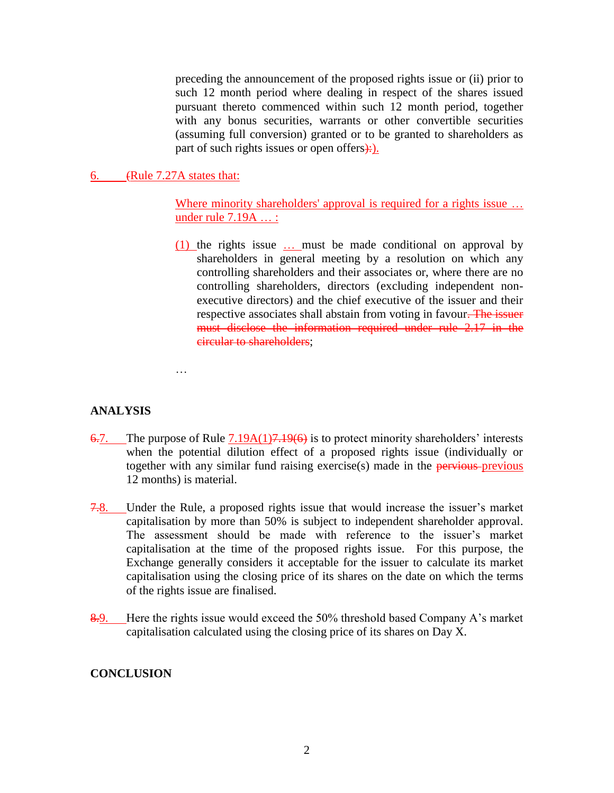preceding the announcement of the proposed rights issue or (ii) prior to such 12 month period where dealing in respect of the shares issued pursuant thereto commenced within such 12 month period, together with any bonus securities, warrants or other convertible securities (assuming full conversion) granted or to be granted to shareholders as part of such rights issues or open offers $\div$ ).

6. (Rule 7.27A states that:

Where minority shareholders' approval is required for a rights issue ... under rule 7.19A ... :

(1) the rights issue … must be made conditional on approval by shareholders in general meeting by a resolution on which any controlling shareholders and their associates or, where there are no controlling shareholders, directors (excluding independent nonexecutive directors) and the chief executive of the issuer and their respective associates shall abstain from voting in favour. The issuer must disclose the information required under rule 2.17 in the circular to shareholders;

…

## **ANALYSIS**

- $6.7$ . The purpose of Rule  $7.19A(1)7.19(6)$  is to protect minority shareholders' interests when the potential dilution effect of a proposed rights issue (individually or together with any similar fund raising exercise $(s)$  made in the **pervious** previous 12 months) is material.
- 7.8. Under the Rule, a proposed rights issue that would increase the issuer's market capitalisation by more than 50% is subject to independent shareholder approval. The assessment should be made with reference to the issuer's market capitalisation at the time of the proposed rights issue. For this purpose, the Exchange generally considers it acceptable for the issuer to calculate its market capitalisation using the closing price of its shares on the date on which the terms of the rights issue are finalised.
- 8.9. Here the rights issue would exceed the 50% threshold based Company A's market capitalisation calculated using the closing price of its shares on Day X.

## **CONCLUSION**